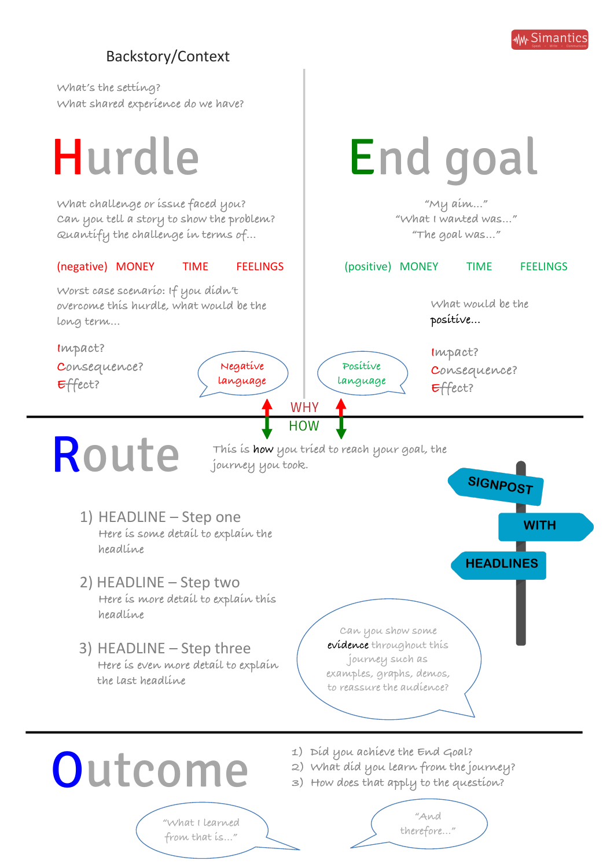

# Backstory/Context

**What's the setting? What shared experience do we have?**

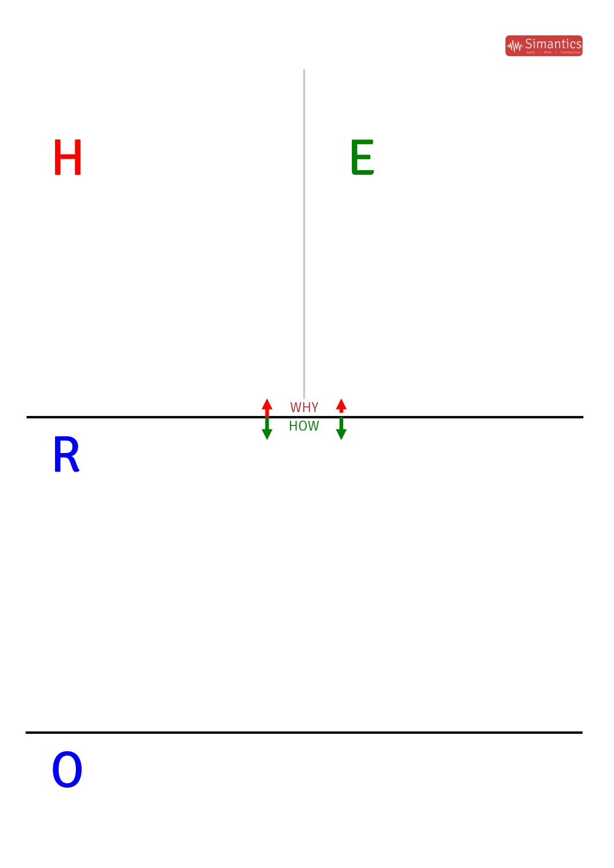

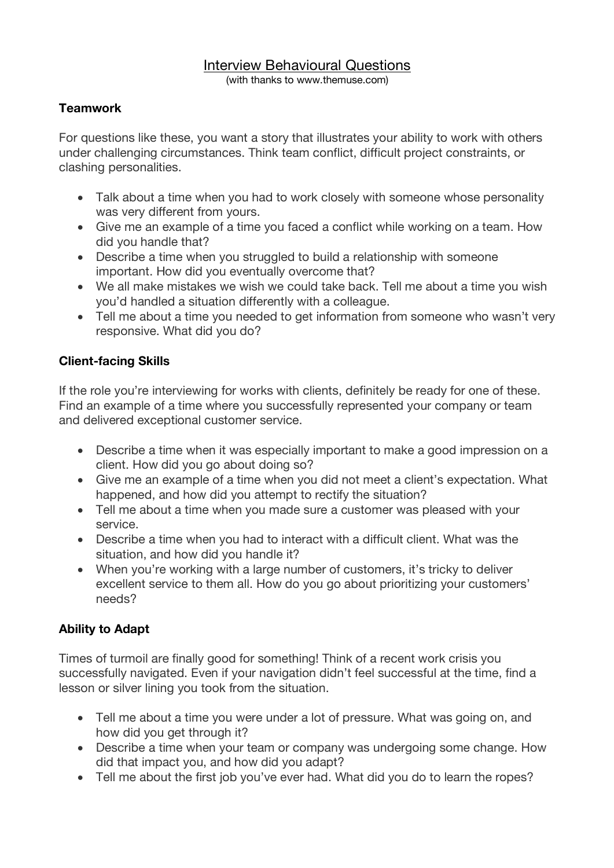# Interview Behavioural Questions

(with thanks to www.themuse.com)

#### **Teamwork**

For questions like these, you want a story that illustrates your ability to work with others under challenging circumstances. Think team conflict, difficult project constraints, or clashing personalities.

- Talk about a time when you had to work closely with someone whose personality was very different from yours.
- Give me an example of a time you faced a conflict while working on a team. How did you handle that?
- Describe a time when you struggled to build a relationship with someone important. How did you eventually overcome that?
- We all make mistakes we wish we could take back. Tell me about a time you wish you'd handled a situation differently with a colleague.
- Tell me about a time you needed to get information from someone who wasn't very responsive. What did you do?

# **Client-facing Skills**

If the role you're interviewing for works with clients, definitely be ready for one of these. Find an example of a time where you successfully represented your company or team and delivered exceptional customer service.

- Describe a time when it was especially important to make a good impression on a client. How did you go about doing so?
- Give me an example of a time when you did not meet a client's expectation. What happened, and how did you attempt to rectify the situation?
- Tell me about a time when you made sure a customer was pleased with your service.
- Describe a time when you had to interact with a difficult client. What was the situation, and how did you handle it?
- When you're working with a large number of customers, it's tricky to deliver excellent service to them all. How do you go about prioritizing your customers' needs?

# **Ability to Adapt**

Times of turmoil are finally good for something! Think of a recent work crisis you successfully navigated. Even if your navigation didn't feel successful at the time, find a lesson or silver lining you took from the situation.

- Tell me about a time you were under a lot of pressure. What was going on, and how did you get through it?
- Describe a time when your team or company was undergoing some change. How did that impact you, and how did you adapt?
- Tell me about the first job you've ever had. What did you do to learn the ropes?